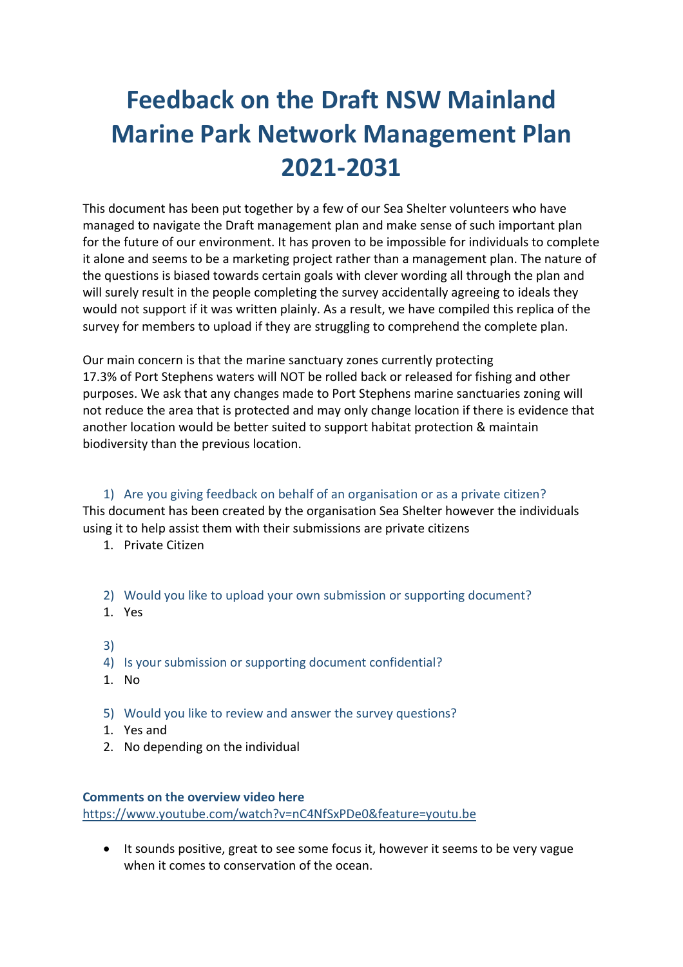# **Feedback on the Draft NSW Mainland Marine Park Network Management Plan 2021-2031**

This document has been put together by a few of our Sea Shelter volunteers who have managed to navigate the Draft management plan and make sense of such important plan for the future of our environment. It has proven to be impossible for individuals to complete it alone and seems to be a marketing project rather than a management plan. The nature of the questions is biased towards certain goals with clever wording all through the plan and will surely result in the people completing the survey accidentally agreeing to ideals they would not support if it was written plainly. As a result, we have compiled this replica of the survey for members to upload if they are struggling to comprehend the complete plan.

Our main concern is that the marine sanctuary zones currently protecting 17.3% of Port Stephens waters will NOT be rolled back or released for fishing and other purposes. We ask that any changes made to Port Stephens marine sanctuaries zoning will not reduce the area that is protected and may only change location if there is evidence that another location would be better suited to support habitat protection & maintain biodiversity than the previous location.

1) Are you giving feedback on behalf of an organisation or as a private citizen? This document has been created by the organisation Sea Shelter however the individuals using it to help assist them with their submissions are private citizens

- 1. Private Citizen
- 2) Would you like to upload your own submission or supporting document?
- 1. Yes
- 3)
- 4) Is your submission or supporting document confidential?
- 1. No
- 5) Would you like to review and answer the survey questions?
- 1. Yes and
- 2. No depending on the individual

#### **Comments on the overview video here**

https://www.youtube.com/watch?v=nC4NfSxPDe0&feature=youtu.be

• It sounds positive, great to see some focus it, however it seems to be very vague when it comes to conservation of the ocean.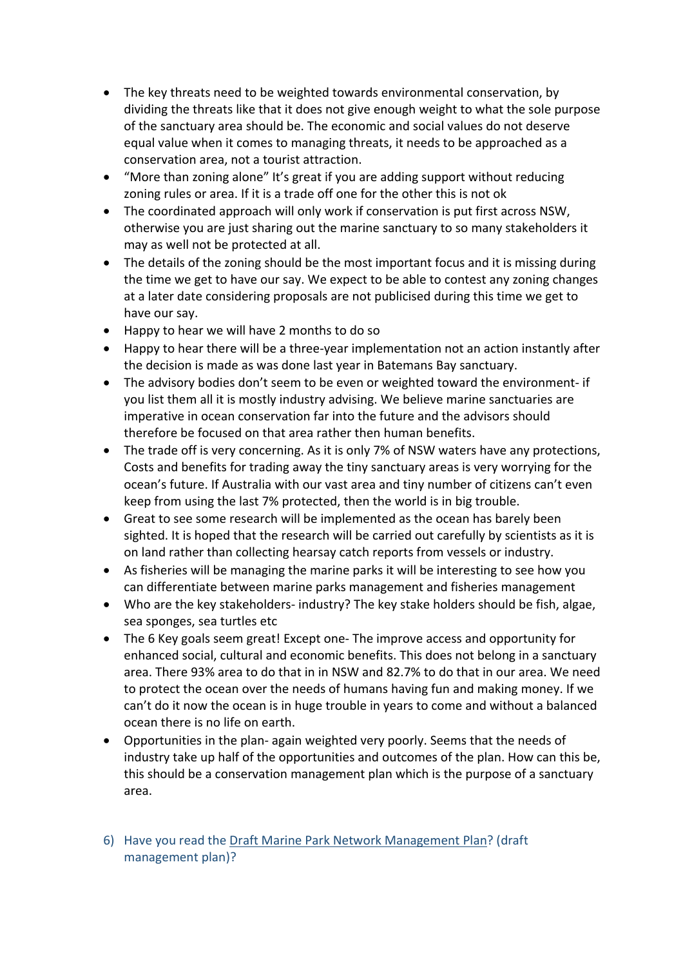- The key threats need to be weighted towards environmental conservation, by dividing the threats like that it does not give enough weight to what the sole purpose of the sanctuary area should be. The economic and social values do not deserve equal value when it comes to managing threats, it needs to be approached as a conservation area, not a tourist attraction.
- "More than zoning alone" It's great if you are adding support without reducing zoning rules or area. If it is a trade off one for the other this is not ok
- The coordinated approach will only work if conservation is put first across NSW, otherwise you are just sharing out the marine sanctuary to so many stakeholders it may as well not be protected at all.
- The details of the zoning should be the most important focus and it is missing during the time we get to have our say. We expect to be able to contest any zoning changes at a later date considering proposals are not publicised during this time we get to have our say.
- Happy to hear we will have 2 months to do so
- Happy to hear there will be a three-year implementation not an action instantly after the decision is made as was done last year in Batemans Bay sanctuary.
- The advisory bodies don't seem to be even or weighted toward the environment- if you list them all it is mostly industry advising. We believe marine sanctuaries are imperative in ocean conservation far into the future and the advisors should therefore be focused on that area rather then human benefits.
- The trade off is very concerning. As it is only 7% of NSW waters have any protections, Costs and benefits for trading away the tiny sanctuary areas is very worrying for the ocean's future. If Australia with our vast area and tiny number of citizens can't even keep from using the last 7% protected, then the world is in big trouble.
- Great to see some research will be implemented as the ocean has barely been sighted. It is hoped that the research will be carried out carefully by scientists as it is on land rather than collecting hearsay catch reports from vessels or industry.
- As fisheries will be managing the marine parks it will be interesting to see how you can differentiate between marine parks management and fisheries management
- Who are the key stakeholders- industry? The key stake holders should be fish, algae, sea sponges, sea turtles etc
- The 6 Key goals seem great! Except one- The improve access and opportunity for enhanced social, cultural and economic benefits. This does not belong in a sanctuary area. There 93% area to do that in in NSW and 82.7% to do that in our area. We need to protect the ocean over the needs of humans having fun and making money. If we can't do it now the ocean is in huge trouble in years to come and without a balanced ocean there is no life on earth.
- Opportunities in the plan- again weighted very poorly. Seems that the needs of industry take up half of the opportunities and outcomes of the plan. How can this be, this should be a conservation management plan which is the purpose of a sanctuary area.
- 6) Have you read the Draft Marine Park Network Management Plan? (draft management plan)?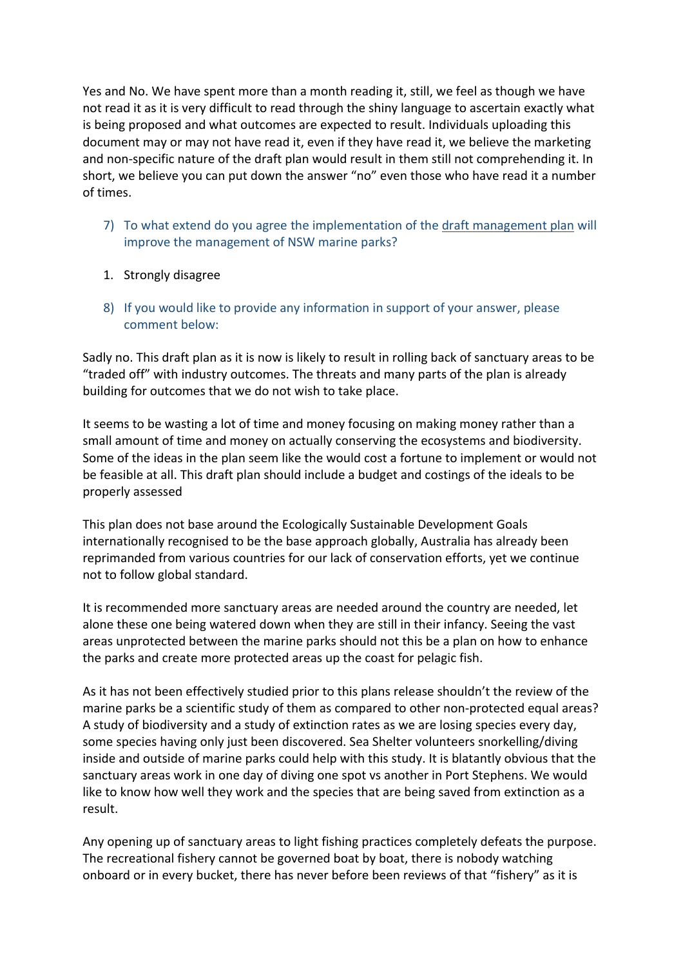Yes and No. We have spent more than a month reading it, still, we feel as though we have not read it as it is very difficult to read through the shiny language to ascertain exactly what is being proposed and what outcomes are expected to result. Individuals uploading this document may or may not have read it, even if they have read it, we believe the marketing and non-specific nature of the draft plan would result in them still not comprehending it. In short, we believe you can put down the answer "no" even those who have read it a number of times.

- 7) To what extend do you agree the implementation of the draft management plan will improve the management of NSW marine parks?
- 1. Strongly disagree
- 8) If you would like to provide any information in support of your answer, please comment below:

Sadly no. This draft plan as it is now is likely to result in rolling back of sanctuary areas to be "traded off" with industry outcomes. The threats and many parts of the plan is already building for outcomes that we do not wish to take place.

It seems to be wasting a lot of time and money focusing on making money rather than a small amount of time and money on actually conserving the ecosystems and biodiversity. Some of the ideas in the plan seem like the would cost a fortune to implement or would not be feasible at all. This draft plan should include a budget and costings of the ideals to be properly assessed

This plan does not base around the Ecologically Sustainable Development Goals internationally recognised to be the base approach globally, Australia has already been reprimanded from various countries for our lack of conservation efforts, yet we continue not to follow global standard.

It is recommended more sanctuary areas are needed around the country are needed, let alone these one being watered down when they are still in their infancy. Seeing the vast areas unprotected between the marine parks should not this be a plan on how to enhance the parks and create more protected areas up the coast for pelagic fish.

As it has not been effectively studied prior to this plans release shouldn't the review of the marine parks be a scientific study of them as compared to other non-protected equal areas? A study of biodiversity and a study of extinction rates as we are losing species every day, some species having only just been discovered. Sea Shelter volunteers snorkelling/diving inside and outside of marine parks could help with this study. It is blatantly obvious that the sanctuary areas work in one day of diving one spot vs another in Port Stephens. We would like to know how well they work and the species that are being saved from extinction as a result.

Any opening up of sanctuary areas to light fishing practices completely defeats the purpose. The recreational fishery cannot be governed boat by boat, there is nobody watching onboard or in every bucket, there has never before been reviews of that "fishery" as it is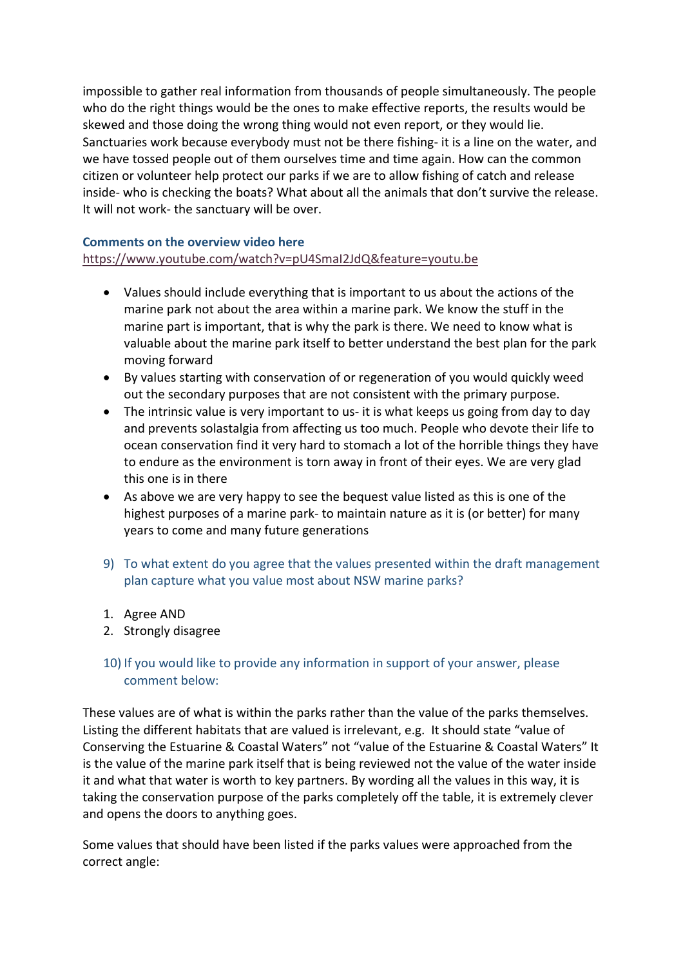impossible to gather real information from thousands of people simultaneously. The people who do the right things would be the ones to make effective reports, the results would be skewed and those doing the wrong thing would not even report, or they would lie. Sanctuaries work because everybody must not be there fishing- it is a line on the water, and we have tossed people out of them ourselves time and time again. How can the common citizen or volunteer help protect our parks if we are to allow fishing of catch and release inside- who is checking the boats? What about all the animals that don't survive the release. It will not work- the sanctuary will be over.

## **Comments on the overview video here**

# https://www.youtube.com/watch?v=pU4SmaI2JdQ&feature=youtu.be

- Values should include everything that is important to us about the actions of the marine park not about the area within a marine park. We know the stuff in the marine part is important, that is why the park is there. We need to know what is valuable about the marine park itself to better understand the best plan for the park moving forward
- By values starting with conservation of or regeneration of you would quickly weed out the secondary purposes that are not consistent with the primary purpose.
- The intrinsic value is very important to us- it is what keeps us going from day to day and prevents solastalgia from affecting us too much. People who devote their life to ocean conservation find it very hard to stomach a lot of the horrible things they have to endure as the environment is torn away in front of their eyes. We are very glad this one is in there
- As above we are very happy to see the bequest value listed as this is one of the highest purposes of a marine park- to maintain nature as it is (or better) for many years to come and many future generations
- 9) To what extent do you agree that the values presented within the draft management plan capture what you value most about NSW marine parks?
- 1. Agree AND
- 2. Strongly disagree

# 10) If you would like to provide any information in support of your answer, please comment below:

These values are of what is within the parks rather than the value of the parks themselves. Listing the different habitats that are valued is irrelevant, e.g. It should state "value of Conserving the Estuarine & Coastal Waters" not "value of the Estuarine & Coastal Waters" It is the value of the marine park itself that is being reviewed not the value of the water inside it and what that water is worth to key partners. By wording all the values in this way, it is taking the conservation purpose of the parks completely off the table, it is extremely clever and opens the doors to anything goes.

Some values that should have been listed if the parks values were approached from the correct angle: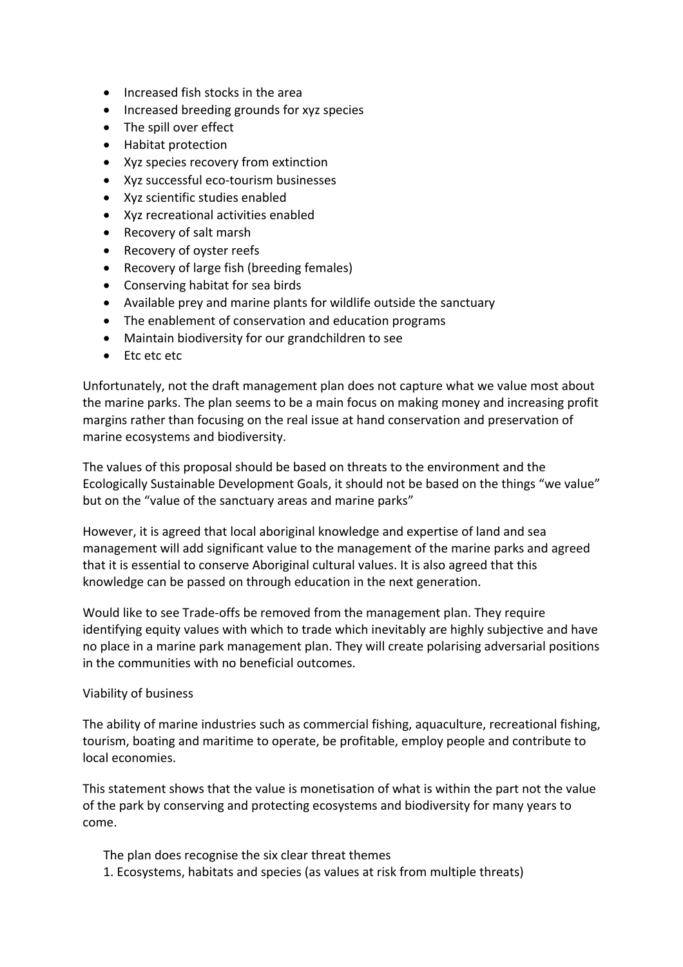- Increased fish stocks in the area
- Increased breeding grounds for xyz species
- The spill over effect
- Habitat protection
- Xyz species recovery from extinction
- Xyz successful eco-tourism businesses
- Xyz scientific studies enabled
- Xyz recreational activities enabled
- Recovery of salt marsh
- Recovery of oyster reefs
- Recovery of large fish (breeding females)
- Conserving habitat for sea birds
- Available prey and marine plants for wildlife outside the sanctuary
- The enablement of conservation and education programs
- Maintain biodiversity for our grandchildren to see
- Etc etc etc

Unfortunately, not the draft management plan does not capture what we value most about the marine parks. The plan seems to be a main focus on making money and increasing profit margins rather than focusing on the real issue at hand conservation and preservation of marine ecosystems and biodiversity.

The values of this proposal should be based on threats to the environment and the Ecologically Sustainable Development Goals, it should not be based on the things "we value" but on the "value of the sanctuary areas and marine parks"

However, it is agreed that local aboriginal knowledge and expertise of land and sea management will add significant value to the management of the marine parks and agreed that it is essential to conserve Aboriginal cultural values. It is also agreed that this knowledge can be passed on through education in the next generation.

Would like to see Trade-offs be removed from the management plan. They require identifying equity values with which to trade which inevitably are highly subjective and have no place in a marine park management plan. They will create polarising adversarial positions in the communities with no beneficial outcomes.

#### Viability of business

The ability of marine industries such as commercial fishing, aquaculture, recreational fishing, tourism, boating and maritime to operate, be profitable, employ people and contribute to local economies.

This statement shows that the value is monetisation of what is within the part not the value of the park by conserving and protecting ecosystems and biodiversity for many years to come.

The plan does recognise the six clear threat themes

1. Ecosystems, habitats and species (as values at risk from multiple threats)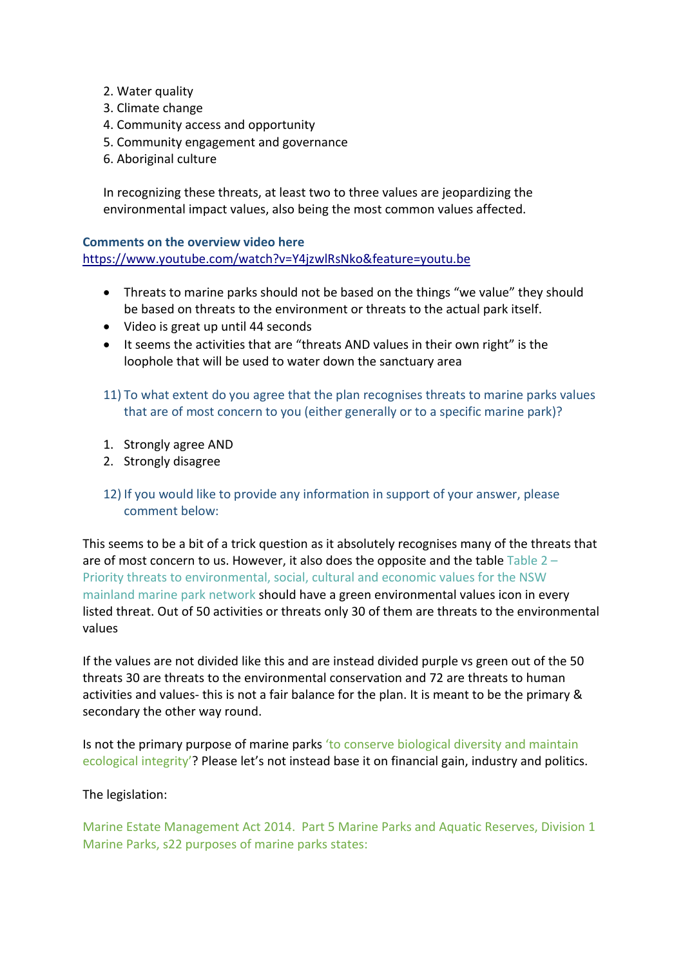- 2. Water quality
- 3. Climate change
- 4. Community access and opportunity
- 5. Community engagement and governance
- 6. Aboriginal culture

In recognizing these threats, at least two to three values are jeopardizing the environmental impact values, also being the most common values affected.

#### **Comments on the overview video here**

https://www.youtube.com/watch?v=Y4jzwlRsNko&feature=youtu.be

- Threats to marine parks should not be based on the things "we value" they should be based on threats to the environment or threats to the actual park itself.
- Video is great up until 44 seconds
- It seems the activities that are "threats AND values in their own right" is the loophole that will be used to water down the sanctuary area
- 11) To what extent do you agree that the plan recognises threats to marine parks values that are of most concern to you (either generally or to a specific marine park)?
- 1. Strongly agree AND
- 2. Strongly disagree
- 12) If you would like to provide any information in support of your answer, please comment below:

This seems to be a bit of a trick question as it absolutely recognises many of the threats that are of most concern to us. However, it also does the opposite and the table  $T$ able  $2 -$ Priority threats to environmental, social, cultural and economic values for the NSW mainland marine park network should have a green environmental values icon in every listed threat. Out of 50 activities or threats only 30 of them are threats to the environmental values

If the values are not divided like this and are instead divided purple vs green out of the 50 threats 30 are threats to the environmental conservation and 72 are threats to human activities and values- this is not a fair balance for the plan. It is meant to be the primary & secondary the other way round.

Is not the primary purpose of marine parks 'to conserve biological diversity and maintain ecological integrity'? Please let's not instead base it on financial gain, industry and politics.

The legislation:

Marine Estate Management Act 2014. Part 5 Marine Parks and Aquatic Reserves, Division 1 Marine Parks, s22 purposes of marine parks states: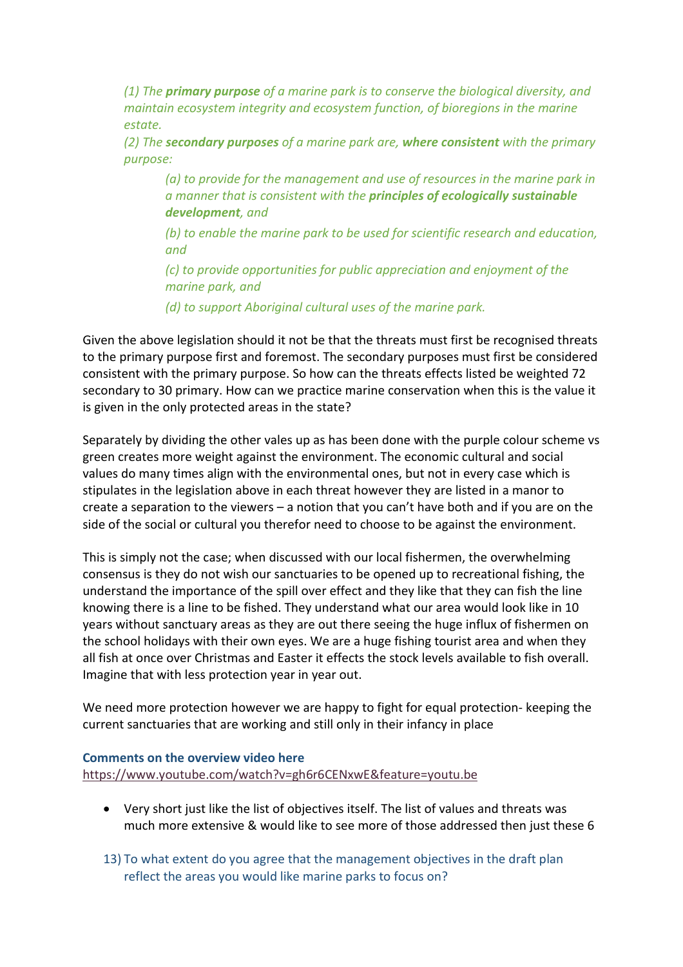*(1) The primary purpose of a marine park is to conserve the biological diversity, and maintain ecosystem integrity and ecosystem function, of bioregions in the marine estate.*

*(2) The secondary purposes of a marine park are, where consistent with the primary purpose:*

*(a) to provide for the management and use of resources in the marine park in a manner that is consistent with the principles of ecologically sustainable development, and*

*(b) to enable the marine park to be used for scientific research and education, and*

*(c) to provide opportunities for public appreciation and enjoyment of the marine park, and*

*(d) to support Aboriginal cultural uses of the marine park.*

Given the above legislation should it not be that the threats must first be recognised threats to the primary purpose first and foremost. The secondary purposes must first be considered consistent with the primary purpose. So how can the threats effects listed be weighted 72 secondary to 30 primary. How can we practice marine conservation when this is the value it is given in the only protected areas in the state?

Separately by dividing the other vales up as has been done with the purple colour scheme vs green creates more weight against the environment. The economic cultural and social values do many times align with the environmental ones, but not in every case which is stipulates in the legislation above in each threat however they are listed in a manor to create a separation to the viewers – a notion that you can't have both and if you are on the side of the social or cultural you therefor need to choose to be against the environment.

This is simply not the case; when discussed with our local fishermen, the overwhelming consensus is they do not wish our sanctuaries to be opened up to recreational fishing, the understand the importance of the spill over effect and they like that they can fish the line knowing there is a line to be fished. They understand what our area would look like in 10 years without sanctuary areas as they are out there seeing the huge influx of fishermen on the school holidays with their own eyes. We are a huge fishing tourist area and when they all fish at once over Christmas and Easter it effects the stock levels available to fish overall. Imagine that with less protection year in year out.

We need more protection however we are happy to fight for equal protection- keeping the current sanctuaries that are working and still only in their infancy in place

#### **Comments on the overview video here**

https://www.youtube.com/watch?v=gh6r6CENxwE&feature=youtu.be

- Very short just like the list of objectives itself. The list of values and threats was much more extensive & would like to see more of those addressed then just these 6
- 13) To what extent do you agree that the management objectives in the draft plan reflect the areas you would like marine parks to focus on?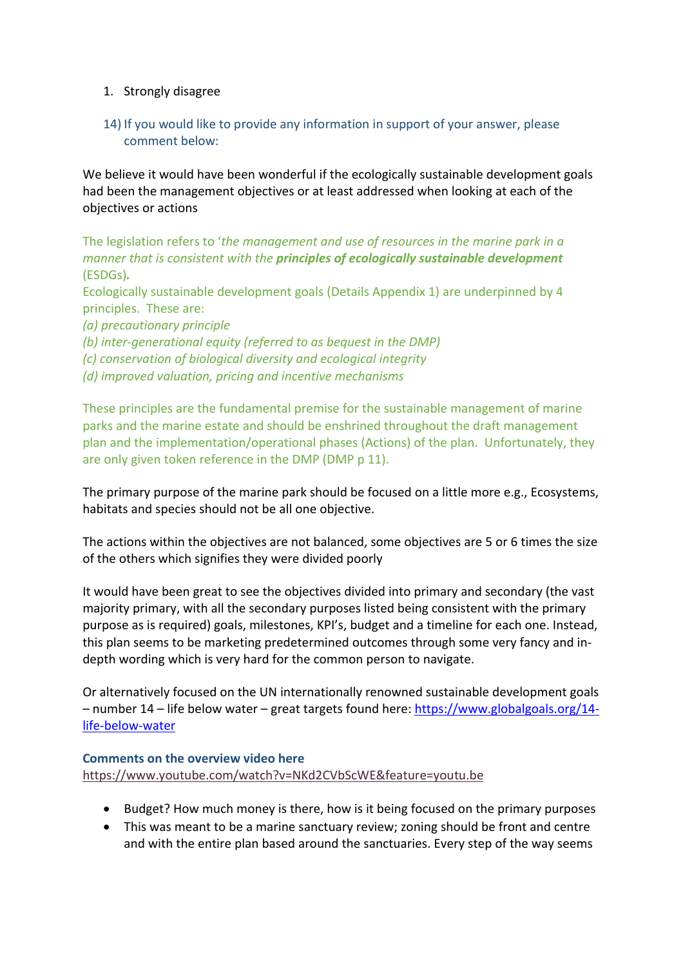## 1. Strongly disagree

# 14) If you would like to provide any information in support of your answer, please comment below:

We believe it would have been wonderful if the ecologically sustainable development goals had been the management objectives or at least addressed when looking at each of the objectives or actions

The legislation refers to '*the management and use of resources in the marine park in a manner that is consistent with the principles of ecologically sustainable development* (ESDGs)*.*

Ecologically sustainable development goals (Details Appendix 1) are underpinned by 4 principles. These are:

*(a) precautionary principle*

*(b) inter-generational equity (referred to as bequest in the DMP)*

*(c) conservation of biological diversity and ecological integrity* 

*(d) improved valuation, pricing and incentive mechanisms*

These principles are the fundamental premise for the sustainable management of marine parks and the marine estate and should be enshrined throughout the draft management plan and the implementation/operational phases (Actions) of the plan. Unfortunately, they are only given token reference in the DMP (DMP p 11).

The primary purpose of the marine park should be focused on a little more e.g., Ecosystems, habitats and species should not be all one objective.

The actions within the objectives are not balanced, some objectives are 5 or 6 times the size of the others which signifies they were divided poorly

It would have been great to see the objectives divided into primary and secondary (the vast majority primary, with all the secondary purposes listed being consistent with the primary purpose as is required) goals, milestones, KPI's, budget and a timeline for each one. Instead, this plan seems to be marketing predetermined outcomes through some very fancy and indepth wording which is very hard for the common person to navigate.

Or alternatively focused on the UN internationally renowned sustainable development goals – number 14 – life below water – great targets found here: https://www.globalgoals.org/14 life-below-water

## **Comments on the overview video here**  https://www.youtube.com/watch?v=NKd2CVbScWE&feature=youtu.be

- Budget? How much money is there, how is it being focused on the primary purposes
- This was meant to be a marine sanctuary review; zoning should be front and centre and with the entire plan based around the sanctuaries. Every step of the way seems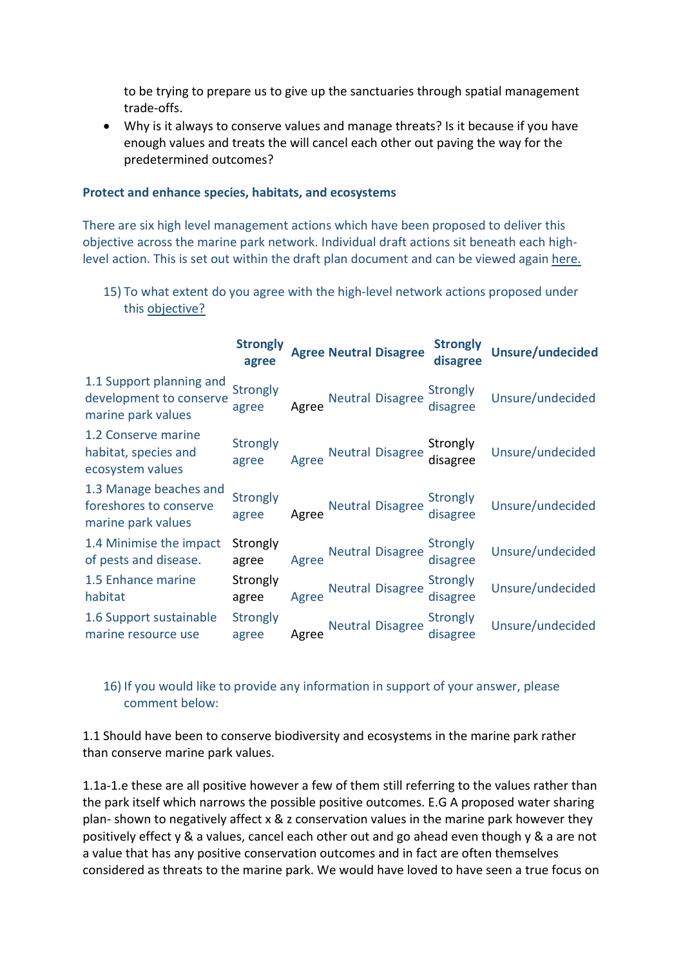to be trying to prepare us to give up the sanctuaries through spatial management trade-offs.

• Why is it always to conserve values and manage threats? Is it because if you have enough values and treats the will cancel each other out paving the way for the predetermined outcomes?

#### **Protect and enhance species, habitats, and ecosystems**

There are six high level management actions which have been proposed to deliver this objective across the marine park network. Individual draft actions sit beneath each highlevel action. This is set out within the draft plan document and can be viewed again here.

15) To what extent do you agree with the high-level network actions proposed under this objective?

|                                                                           | <b>Strongly</b><br>agree |       | <b>Agree Neutral Disagree</b> | <b>Strongly</b><br>disagree | <b>Unsure/undecided</b> |
|---------------------------------------------------------------------------|--------------------------|-------|-------------------------------|-----------------------------|-------------------------|
| 1.1 Support planning and<br>development to conserve<br>marine park values | Strongly<br>agree        | Agree | <b>Neutral Disagree</b>       | Strongly<br>disagree        | Unsure/undecided        |
| 1.2 Conserve marine<br>habitat, species and<br>ecosystem values           | Strongly<br>agree        | Agree | <b>Neutral Disagree</b>       | Strongly<br>disagree        | Unsure/undecided        |
| 1.3 Manage beaches and<br>foreshores to conserve<br>marine park values    | Strongly<br>agree        | Agree | <b>Neutral Disagree</b>       | Strongly<br>disagree        | Unsure/undecided        |
| 1.4 Minimise the impact<br>of pests and disease.                          | Strongly<br>agree        | Agree | <b>Neutral Disagree</b>       | Strongly<br>disagree        | Unsure/undecided        |
| 1.5 Enhance marine<br>habitat                                             | Strongly<br>agree        | Agree | <b>Neutral Disagree</b>       | Strongly<br>disagree        | Unsure/undecided        |
| 1.6 Support sustainable<br>marine resource use                            | Strongly<br>agree        | Agree | <b>Neutral Disagree</b>       | Strongly<br>disagree        | Unsure/undecided        |

# 16) If you would like to provide any information in support of your answer, please comment below:

1.1 Should have been to conserve biodiversity and ecosystems in the marine park rather than conserve marine park values.

1.1a-1.e these are all positive however a few of them still referring to the values rather than the park itself which narrows the possible positive outcomes. E.G A proposed water sharing plan- shown to negatively affect x & z conservation values in the marine park however they positively effect y & a values, cancel each other out and go ahead even though y & a are not a value that has any positive conservation outcomes and in fact are often themselves considered as threats to the marine park. We would have loved to have seen a true focus on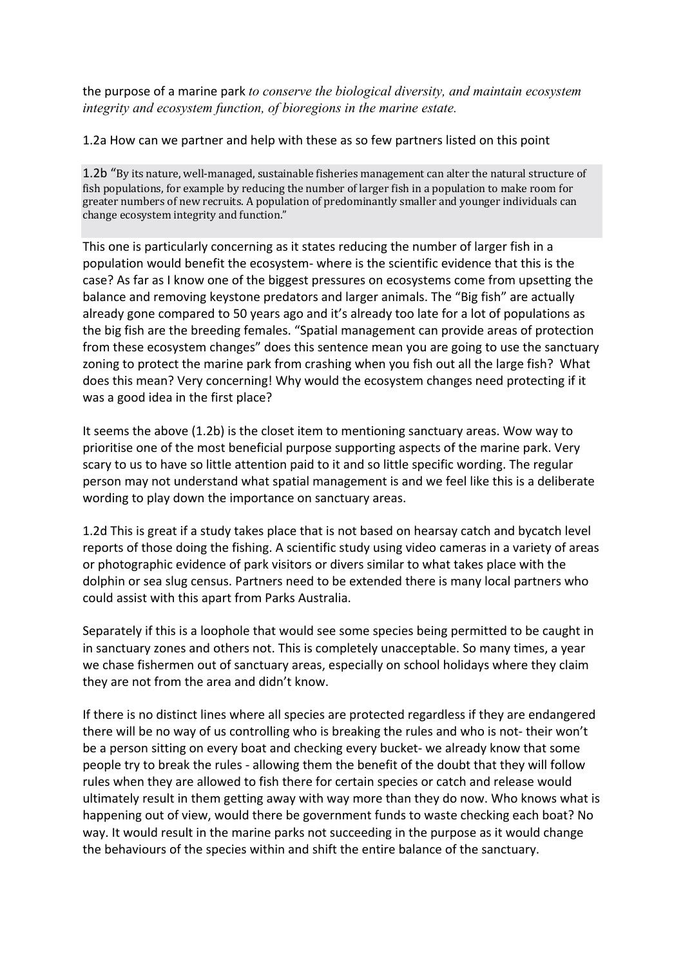the purpose of a marine park *to conserve the biological diversity, and maintain ecosystem integrity and ecosystem function, of bioregions in the marine estate.*

1.2a How can we partner and help with these as so few partners listed on this point

1.2b "By its nature, well-managed, sustainable fisheries management can alter the natural structure of fish populations, for example by reducing the number of larger fish in a population to make room for greater numbers of new recruits. A population of predominantly smaller and younger individuals can change ecosystem integrity and function."

This one is particularly concerning as it states reducing the number of larger fish in a population would benefit the ecosystem- where is the scientific evidence that this is the case? As far as I know one of the biggest pressures on ecosystems come from upsetting the balance and removing keystone predators and larger animals. The "Big fish" are actually already gone compared to 50 years ago and it's already too late for a lot of populations as the big fish are the breeding females. "Spatial management can provide areas of protection from these ecosystem changes" does this sentence mean you are going to use the sanctuary zoning to protect the marine park from crashing when you fish out all the large fish? What does this mean? Very concerning! Why would the ecosystem changes need protecting if it was a good idea in the first place?

It seems the above (1.2b) is the closet item to mentioning sanctuary areas. Wow way to prioritise one of the most beneficial purpose supporting aspects of the marine park. Very scary to us to have so little attention paid to it and so little specific wording. The regular person may not understand what spatial management is and we feel like this is a deliberate wording to play down the importance on sanctuary areas.

1.2d This is great if a study takes place that is not based on hearsay catch and bycatch level reports of those doing the fishing. A scientific study using video cameras in a variety of areas or photographic evidence of park visitors or divers similar to what takes place with the dolphin or sea slug census. Partners need to be extended there is many local partners who could assist with this apart from Parks Australia.

Separately if this is a loophole that would see some species being permitted to be caught in in sanctuary zones and others not. This is completely unacceptable. So many times, a year we chase fishermen out of sanctuary areas, especially on school holidays where they claim they are not from the area and didn't know.

If there is no distinct lines where all species are protected regardless if they are endangered there will be no way of us controlling who is breaking the rules and who is not- their won't be a person sitting on every boat and checking every bucket- we already know that some people try to break the rules - allowing them the benefit of the doubt that they will follow rules when they are allowed to fish there for certain species or catch and release would ultimately result in them getting away with way more than they do now. Who knows what is happening out of view, would there be government funds to waste checking each boat? No way. It would result in the marine parks not succeeding in the purpose as it would change the behaviours of the species within and shift the entire balance of the sanctuary.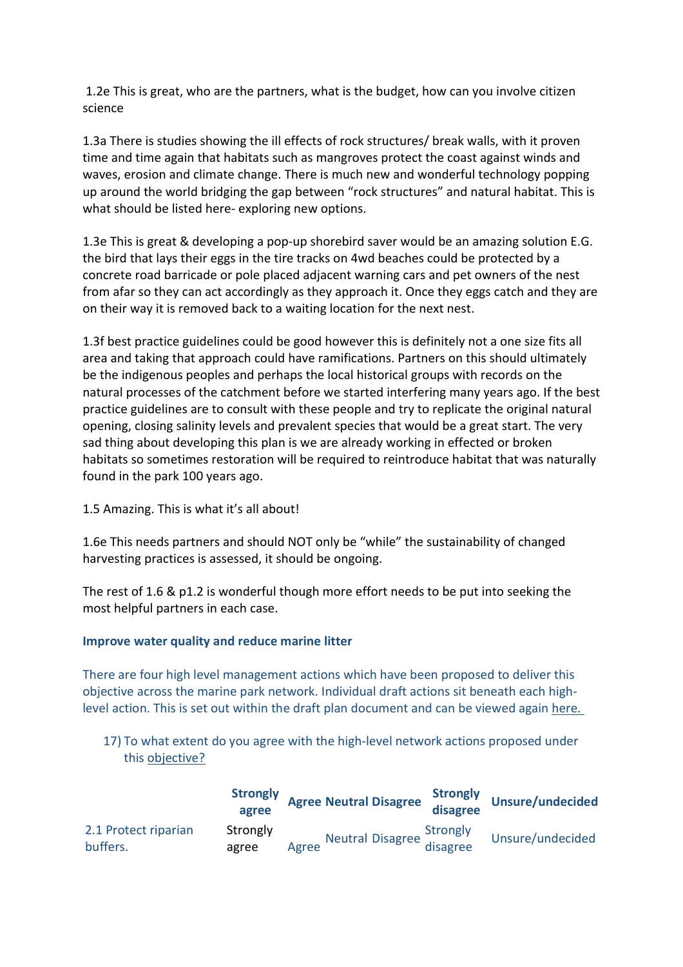1.2e This is great, who are the partners, what is the budget, how can you involve citizen science

1.3a There is studies showing the ill effects of rock structures/ break walls, with it proven time and time again that habitats such as mangroves protect the coast against winds and waves, erosion and climate change. There is much new and wonderful technology popping up around the world bridging the gap between "rock structures" and natural habitat. This is what should be listed here- exploring new options.

1.3e This is great & developing a pop-up shorebird saver would be an amazing solution E.G. the bird that lays their eggs in the tire tracks on 4wd beaches could be protected by a concrete road barricade or pole placed adjacent warning cars and pet owners of the nest from afar so they can act accordingly as they approach it. Once they eggs catch and they are on their way it is removed back to a waiting location for the next nest.

1.3f best practice guidelines could be good however this is definitely not a one size fits all area and taking that approach could have ramifications. Partners on this should ultimately be the indigenous peoples and perhaps the local historical groups with records on the natural processes of the catchment before we started interfering many years ago. If the best practice guidelines are to consult with these people and try to replicate the original natural opening, closing salinity levels and prevalent species that would be a great start. The very sad thing about developing this plan is we are already working in effected or broken habitats so sometimes restoration will be required to reintroduce habitat that was naturally found in the park 100 years ago.

# 1.5 Amazing. This is what it's all about!

1.6e This needs partners and should NOT only be "while" the sustainability of changed harvesting practices is assessed, it should be ongoing.

The rest of 1.6 & p1.2 is wonderful though more effort needs to be put into seeking the most helpful partners in each case.

#### **Improve water quality and reduce marine litter**

There are four high level management actions which have been proposed to deliver this objective across the marine park network. Individual draft actions sit beneath each highlevel action. This is set out within the draft plan document and can be viewed again here.

17) To what extent do you agree with the high-level network actions proposed under this objective?

|                                  | agree             | <b>Strongly Agree Neutral Disagree</b>                 | disagree | <b>Strongly Unsure/undecider'</b> |
|----------------------------------|-------------------|--------------------------------------------------------|----------|-----------------------------------|
| 2.1 Protect riparian<br>buffers. | Strongly<br>agree | <b>Neutral Disagree Strongly<br/>disagree</b><br>Agree |          | Unsure/undecided                  |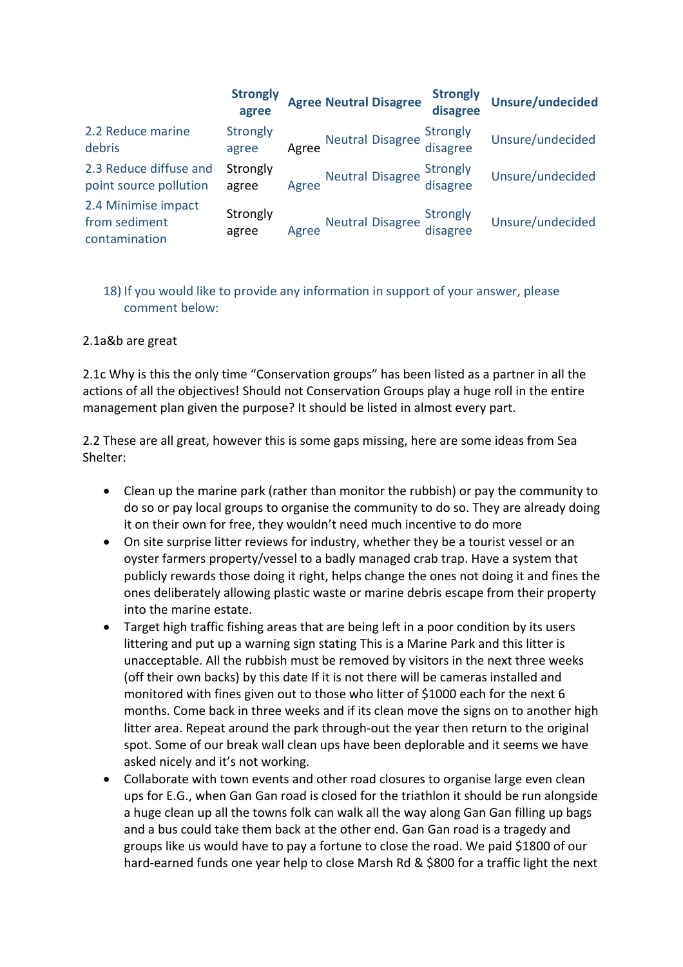|                                                       | <b>Strongly</b><br>agree |       | <b>Agree Neutral Disagree</b>         | <b>Strongly</b><br>disagree | <b>Unsure/undecided</b> |
|-------------------------------------------------------|--------------------------|-------|---------------------------------------|-----------------------------|-------------------------|
| 2.2 Reduce marine<br>debris                           | Strongly<br>agree        | Agree | Neutral Disagree Strongly<br>disagree |                             | Unsure/undecided        |
| 2.3 Reduce diffuse and<br>point source pollution      | Strongly<br>agree        | Agree | Neutral Disagree Strongly<br>disagree |                             | Unsure/undecided        |
| 2.4 Minimise impact<br>from sediment<br>contamination | Strongly<br>agree        | Agree | Neutral Disagree Strongly<br>disagree |                             | Unsure/undecided        |

# 18) If you would like to provide any information in support of your answer, please comment below:

## 2.1a&b are great

2.1c Why is this the only time "Conservation groups" has been listed as a partner in all the actions of all the objectives! Should not Conservation Groups play a huge roll in the entire management plan given the purpose? It should be listed in almost every part.

2.2 These are all great, however this is some gaps missing, here are some ideas from Sea Shelter:

- Clean up the marine park (rather than monitor the rubbish) or pay the community to do so or pay local groups to organise the community to do so. They are already doing it on their own for free, they wouldn't need much incentive to do more
- On site surprise litter reviews for industry, whether they be a tourist vessel or an oyster farmers property/vessel to a badly managed crab trap. Have a system that publicly rewards those doing it right, helps change the ones not doing it and fines the ones deliberately allowing plastic waste or marine debris escape from their property into the marine estate.
- Target high traffic fishing areas that are being left in a poor condition by its users littering and put up a warning sign stating This is a Marine Park and this litter is unacceptable. All the rubbish must be removed by visitors in the next three weeks (off their own backs) by this date If it is not there will be cameras installed and monitored with fines given out to those who litter of \$1000 each for the next 6 months. Come back in three weeks and if its clean move the signs on to another high litter area. Repeat around the park through-out the year then return to the original spot. Some of our break wall clean ups have been deplorable and it seems we have asked nicely and it's not working.
- Collaborate with town events and other road closures to organise large even clean ups for E.G., when Gan Gan road is closed for the triathlon it should be run alongside a huge clean up all the towns folk can walk all the way along Gan Gan filling up bags and a bus could take them back at the other end. Gan Gan road is a tragedy and groups like us would have to pay a fortune to close the road. We paid \$1800 of our hard-earned funds one year help to close Marsh Rd & \$800 for a traffic light the next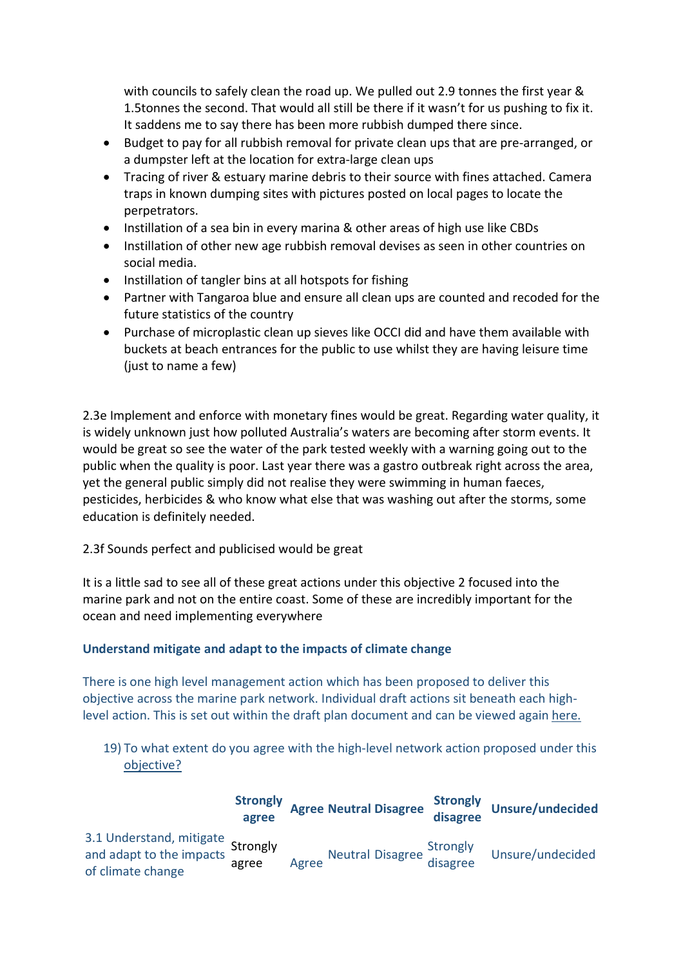with councils to safely clean the road up. We pulled out 2.9 tonnes the first year & 1.5tonnes the second. That would all still be there if it wasn't for us pushing to fix it. It saddens me to say there has been more rubbish dumped there since.

- Budget to pay for all rubbish removal for private clean ups that are pre-arranged, or a dumpster left at the location for extra-large clean ups
- Tracing of river & estuary marine debris to their source with fines attached. Camera traps in known dumping sites with pictures posted on local pages to locate the perpetrators.
- Instillation of a sea bin in every marina & other areas of high use like CBDs
- Instillation of other new age rubbish removal devises as seen in other countries on social media.
- Instillation of tangler bins at all hotspots for fishing
- Partner with Tangaroa blue and ensure all clean ups are counted and recoded for the future statistics of the country
- Purchase of microplastic clean up sieves like OCCI did and have them available with buckets at beach entrances for the public to use whilst they are having leisure time (just to name a few)

2.3e Implement and enforce with monetary fines would be great. Regarding water quality, it is widely unknown just how polluted Australia's waters are becoming after storm events. It would be great so see the water of the park tested weekly with a warning going out to the public when the quality is poor. Last year there was a gastro outbreak right across the area, yet the general public simply did not realise they were swimming in human faeces, pesticides, herbicides & who know what else that was washing out after the storms, some education is definitely needed.

# 2.3f Sounds perfect and publicised would be great

It is a little sad to see all of these great actions under this objective 2 focused into the marine park and not on the entire coast. Some of these are incredibly important for the ocean and need implementing everywhere

# **Understand mitigate and adapt to the impacts of climate change**

There is one high level management action which has been proposed to deliver this objective across the marine park network. Individual draft actions sit beneath each highlevel action. This is set out within the draft plan document and can be viewed again here.

19) To what extent do you agree with the high-level network action proposed under this objective?

|                                                                                           | agree | <b>Strongly Agree Neutral Disagree</b> | disagree                              | Strongly Unsure/undecided |
|-------------------------------------------------------------------------------------------|-------|----------------------------------------|---------------------------------------|---------------------------|
| 3.1 Understand, mitigate<br>and adapt to the impacts<br>and strongly<br>of climate change | agree | Agree                                  | Neutral Disagree Strongly<br>disagree | Unsure/undecided          |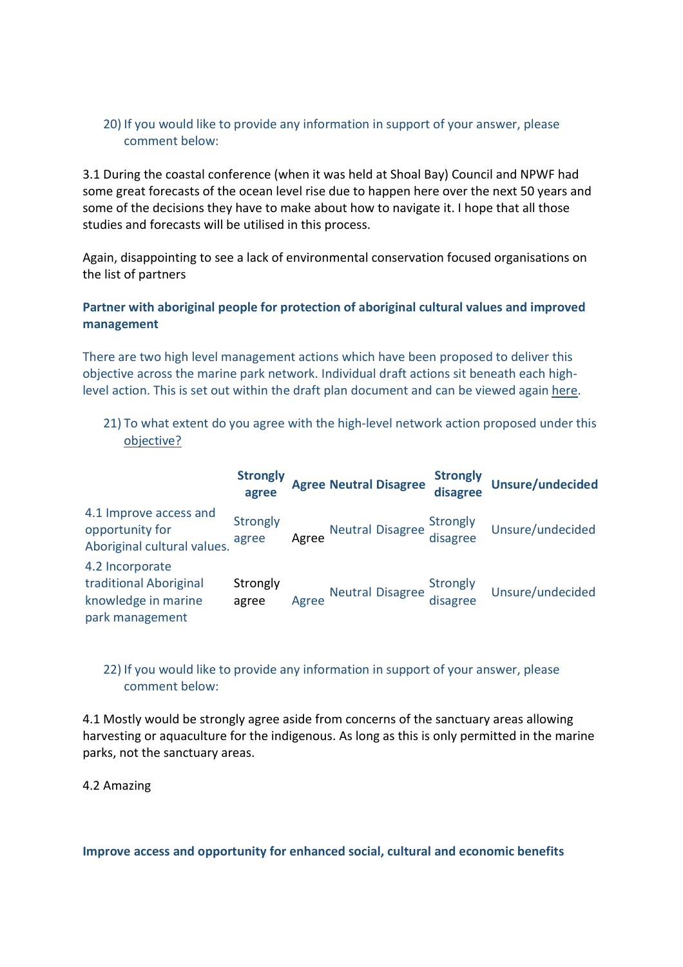# 20) If you would like to provide any information in support of your answer, please comment below:

3.1 During the coastal conference (when it was held at Shoal Bay) Council and NPWF had some great forecasts of the ocean level rise due to happen here over the next 50 years and some of the decisions they have to make about how to navigate it. I hope that all those studies and forecasts will be utilised in this process.

Again, disappointing to see a lack of environmental conservation focused organisations on the list of partners

# **Partner with aboriginal people for protection of aboriginal cultural values and improved management**

There are two high level management actions which have been proposed to deliver this objective across the marine park network. Individual draft actions sit beneath each highlevel action. This is set out within the draft plan document and can be viewed again here.

21) To what extent do you agree with the high-level network action proposed under this objective?

|                                                                                     | <b>Strongly</b><br>agree |       | <b>Agree Neutral Disagree</b>         | <b>Strongly</b><br>disagree           | <b>Unsure/undecided</b> |
|-------------------------------------------------------------------------------------|--------------------------|-------|---------------------------------------|---------------------------------------|-------------------------|
| 4.1 Improve access and<br>opportunity for<br>Aboriginal cultural values.            | Strongly<br>agree        | Agree | Neutral Disagree Strongly<br>disagree |                                       | Unsure/undecided        |
| 4.2 Incorporate<br>traditional Aboriginal<br>knowledge in marine<br>park management | Strongly<br>agree        | Agree |                                       | Neutral Disagree Strongly<br>disagree | Unsure/undecided        |

# 22) If you would like to provide any information in support of your answer, please comment below:

4.1 Mostly would be strongly agree aside from concerns of the sanctuary areas allowing harvesting or aquaculture for the indigenous. As long as this is only permitted in the marine parks, not the sanctuary areas.

4.2 Amazing

#### **Improve access and opportunity for enhanced social, cultural and economic benefits**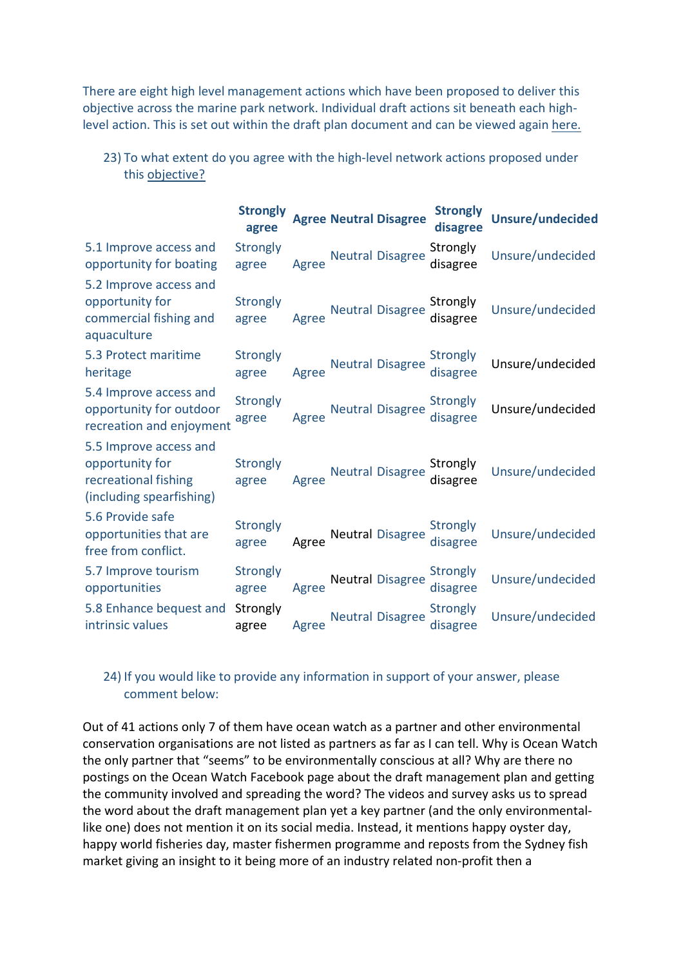There are eight high level management actions which have been proposed to deliver this objective across the marine park network. Individual draft actions sit beneath each highlevel action. This is set out within the draft plan document and can be viewed again here.

|                                                                                               | <b>Strongly</b><br>agree |       | <b>Agree Neutral Disagree</b> | <b>Strongly</b><br>disagree | Unsure/undecided |
|-----------------------------------------------------------------------------------------------|--------------------------|-------|-------------------------------|-----------------------------|------------------|
| 5.1 Improve access and<br>opportunity for boating                                             | Strongly<br>agree        | Agree | <b>Neutral Disagree</b>       | Strongly<br>disagree        | Unsure/undecided |
| 5.2 Improve access and<br>opportunity for<br>commercial fishing and<br>aquaculture            | Strongly<br>agree        | Agree | <b>Neutral Disagree</b>       | Strongly<br>disagree        | Unsure/undecided |
| 5.3 Protect maritime<br>heritage                                                              | Strongly<br>agree        | Agree | <b>Neutral Disagree</b>       | Strongly<br>disagree        | Unsure/undecided |
| 5.4 Improve access and<br>opportunity for outdoor<br>recreation and enjoyment                 | <b>Strongly</b><br>agree | Agree | <b>Neutral Disagree</b>       | Strongly<br>disagree        | Unsure/undecided |
| 5.5 Improve access and<br>opportunity for<br>recreational fishing<br>(including spearfishing) | Strongly<br>agree        | Agree | <b>Neutral Disagree</b>       | Strongly<br>disagree        | Unsure/undecided |
| 5.6 Provide safe<br>opportunities that are<br>free from conflict.                             | Strongly<br>agree        | Agree | <b>Neutral Disagree</b>       | Strongly<br>disagree        | Unsure/undecided |
| 5.7 Improve tourism<br>opportunities                                                          | Strongly<br>agree        | Agree | <b>Neutral Disagree</b>       | <b>Strongly</b><br>disagree | Unsure/undecided |
| 5.8 Enhance bequest and<br>intrinsic values                                                   | Strongly<br>agree        | Agree | <b>Neutral Disagree</b>       | Strongly<br>disagree        | Unsure/undecided |

23) To what extent do you agree with the high-level network actions proposed under this objective?

# 24) If you would like to provide any information in support of your answer, please comment below:

Out of 41 actions only 7 of them have ocean watch as a partner and other environmental conservation organisations are not listed as partners as far as I can tell. Why is Ocean Watch the only partner that "seems" to be environmentally conscious at all? Why are there no postings on the Ocean Watch Facebook page about the draft management plan and getting the community involved and spreading the word? The videos and survey asks us to spread the word about the draft management plan yet a key partner (and the only environmentallike one) does not mention it on its social media. Instead, it mentions happy oyster day, happy world fisheries day, master fishermen programme and reposts from the Sydney fish market giving an insight to it being more of an industry related non-profit then a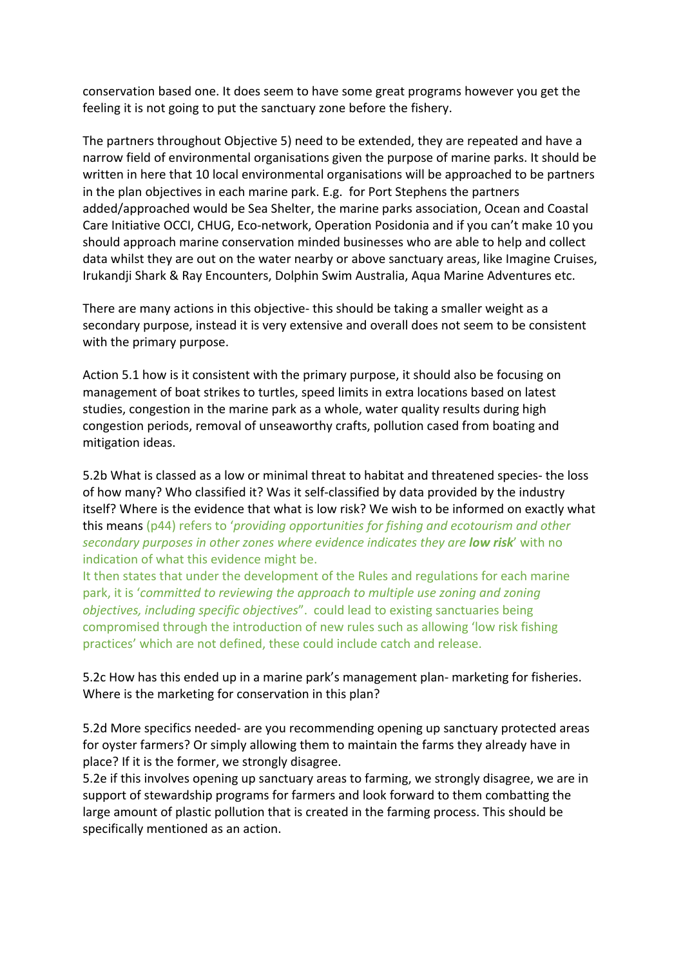conservation based one. It does seem to have some great programs however you get the feeling it is not going to put the sanctuary zone before the fishery.

The partners throughout Objective 5) need to be extended, they are repeated and have a narrow field of environmental organisations given the purpose of marine parks. It should be written in here that 10 local environmental organisations will be approached to be partners in the plan objectives in each marine park. E.g. for Port Stephens the partners added/approached would be Sea Shelter, the marine parks association, Ocean and Coastal Care Initiative OCCI, CHUG, Eco-network, Operation Posidonia and if you can't make 10 you should approach marine conservation minded businesses who are able to help and collect data whilst they are out on the water nearby or above sanctuary areas, like Imagine Cruises, Irukandji Shark & Ray Encounters, Dolphin Swim Australia, Aqua Marine Adventures etc.

There are many actions in this objective- this should be taking a smaller weight as a secondary purpose, instead it is very extensive and overall does not seem to be consistent with the primary purpose.

Action 5.1 how is it consistent with the primary purpose, it should also be focusing on management of boat strikes to turtles, speed limits in extra locations based on latest studies, congestion in the marine park as a whole, water quality results during high congestion periods, removal of unseaworthy crafts, pollution cased from boating and mitigation ideas.

5.2b What is classed as a low or minimal threat to habitat and threatened species- the loss of how many? Who classified it? Was it self-classified by data provided by the industry itself? Where is the evidence that what is low risk? We wish to be informed on exactly what this means (p44) refers to '*providing opportunities for fishing and ecotourism and other secondary purposes in other zones where evidence indicates they are low risk*' with no indication of what this evidence might be.

It then states that under the development of the Rules and regulations for each marine park, it is '*committed to reviewing the approach to multiple use zoning and zoning objectives, including specific objectives*". could lead to existing sanctuaries being compromised through the introduction of new rules such as allowing 'low risk fishing practices' which are not defined, these could include catch and release.

5.2c How has this ended up in a marine park's management plan- marketing for fisheries. Where is the marketing for conservation in this plan?

5.2d More specifics needed- are you recommending opening up sanctuary protected areas for oyster farmers? Or simply allowing them to maintain the farms they already have in place? If it is the former, we strongly disagree.

5.2e if this involves opening up sanctuary areas to farming, we strongly disagree, we are in support of stewardship programs for farmers and look forward to them combatting the large amount of plastic pollution that is created in the farming process. This should be specifically mentioned as an action.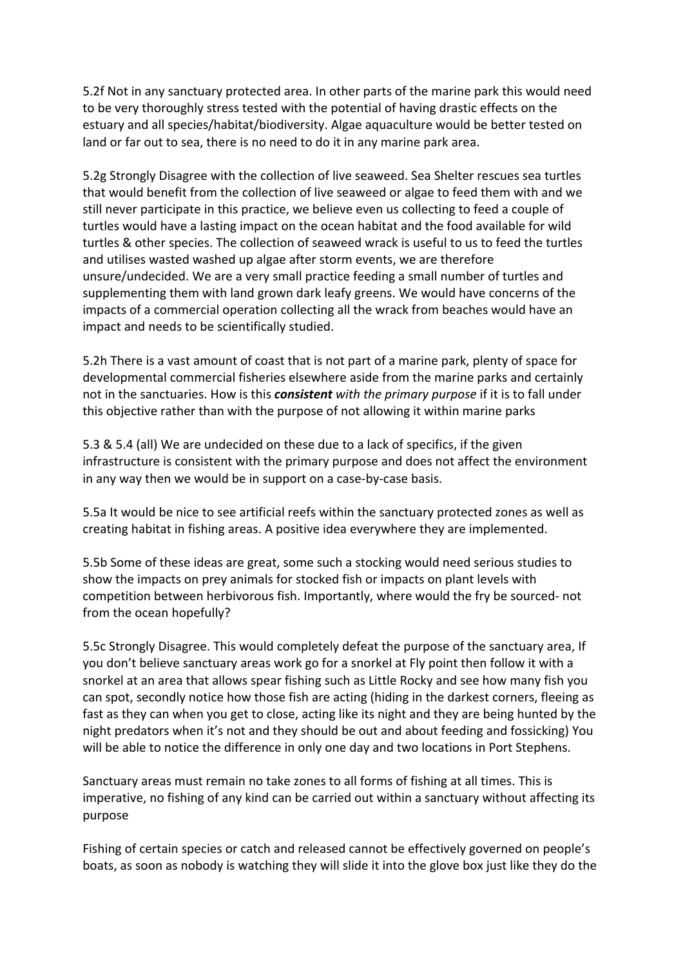5.2f Not in any sanctuary protected area. In other parts of the marine park this would need to be very thoroughly stress tested with the potential of having drastic effects on the estuary and all species/habitat/biodiversity. Algae aquaculture would be better tested on land or far out to sea, there is no need to do it in any marine park area.

5.2g Strongly Disagree with the collection of live seaweed. Sea Shelter rescues sea turtles that would benefit from the collection of live seaweed or algae to feed them with and we still never participate in this practice, we believe even us collecting to feed a couple of turtles would have a lasting impact on the ocean habitat and the food available for wild turtles & other species. The collection of seaweed wrack is useful to us to feed the turtles and utilises wasted washed up algae after storm events, we are therefore unsure/undecided. We are a very small practice feeding a small number of turtles and supplementing them with land grown dark leafy greens. We would have concerns of the impacts of a commercial operation collecting all the wrack from beaches would have an impact and needs to be scientifically studied.

5.2h There is a vast amount of coast that is not part of a marine park, plenty of space for developmental commercial fisheries elsewhere aside from the marine parks and certainly not in the sanctuaries. How is this *consistent with the primary purpose* if it is to fall under this objective rather than with the purpose of not allowing it within marine parks

5.3 & 5.4 (all) We are undecided on these due to a lack of specifics, if the given infrastructure is consistent with the primary purpose and does not affect the environment in any way then we would be in support on a case-by-case basis.

5.5a It would be nice to see artificial reefs within the sanctuary protected zones as well as creating habitat in fishing areas. A positive idea everywhere they are implemented.

5.5b Some of these ideas are great, some such a stocking would need serious studies to show the impacts on prey animals for stocked fish or impacts on plant levels with competition between herbivorous fish. Importantly, where would the fry be sourced- not from the ocean hopefully?

5.5c Strongly Disagree. This would completely defeat the purpose of the sanctuary area, If you don't believe sanctuary areas work go for a snorkel at Fly point then follow it with a snorkel at an area that allows spear fishing such as Little Rocky and see how many fish you can spot, secondly notice how those fish are acting (hiding in the darkest corners, fleeing as fast as they can when you get to close, acting like its night and they are being hunted by the night predators when it's not and they should be out and about feeding and fossicking) You will be able to notice the difference in only one day and two locations in Port Stephens.

Sanctuary areas must remain no take zones to all forms of fishing at all times. This is imperative, no fishing of any kind can be carried out within a sanctuary without affecting its purpose

Fishing of certain species or catch and released cannot be effectively governed on people's boats, as soon as nobody is watching they will slide it into the glove box just like they do the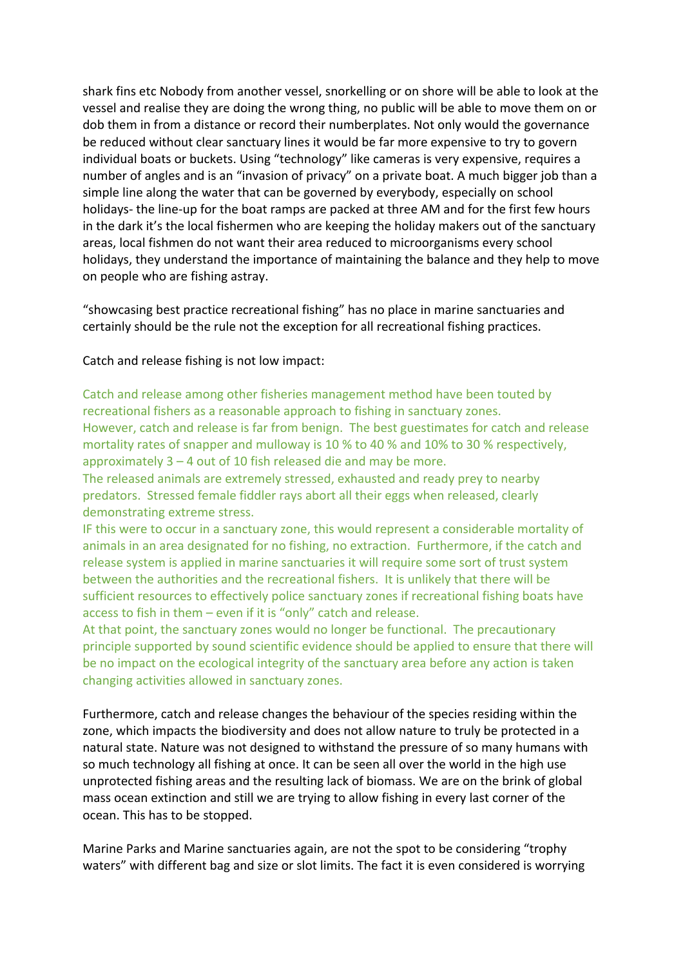shark fins etc Nobody from another vessel, snorkelling or on shore will be able to look at the vessel and realise they are doing the wrong thing, no public will be able to move them on or dob them in from a distance or record their numberplates. Not only would the governance be reduced without clear sanctuary lines it would be far more expensive to try to govern individual boats or buckets. Using "technology" like cameras is very expensive, requires a number of angles and is an "invasion of privacy" on a private boat. A much bigger job than a simple line along the water that can be governed by everybody, especially on school holidays- the line-up for the boat ramps are packed at three AM and for the first few hours in the dark it's the local fishermen who are keeping the holiday makers out of the sanctuary areas, local fishmen do not want their area reduced to microorganisms every school holidays, they understand the importance of maintaining the balance and they help to move on people who are fishing astray.

"showcasing best practice recreational fishing" has no place in marine sanctuaries and certainly should be the rule not the exception for all recreational fishing practices.

Catch and release fishing is not low impact:

Catch and release among other fisheries management method have been touted by recreational fishers as a reasonable approach to fishing in sanctuary zones. However, catch and release is far from benign. The best guestimates for catch and release mortality rates of snapper and mulloway is 10 % to 40 % and 10% to 30 % respectively, approximately 3 – 4 out of 10 fish released die and may be more.

The released animals are extremely stressed, exhausted and ready prey to nearby predators. Stressed female fiddler rays abort all their eggs when released, clearly demonstrating extreme stress.

IF this were to occur in a sanctuary zone, this would represent a considerable mortality of animals in an area designated for no fishing, no extraction. Furthermore, if the catch and release system is applied in marine sanctuaries it will require some sort of trust system between the authorities and the recreational fishers. It is unlikely that there will be sufficient resources to effectively police sanctuary zones if recreational fishing boats have access to fish in them – even if it is "only" catch and release.

At that point, the sanctuary zones would no longer be functional. The precautionary principle supported by sound scientific evidence should be applied to ensure that there will be no impact on the ecological integrity of the sanctuary area before any action is taken changing activities allowed in sanctuary zones.

Furthermore, catch and release changes the behaviour of the species residing within the zone, which impacts the biodiversity and does not allow nature to truly be protected in a natural state. Nature was not designed to withstand the pressure of so many humans with so much technology all fishing at once. It can be seen all over the world in the high use unprotected fishing areas and the resulting lack of biomass. We are on the brink of global mass ocean extinction and still we are trying to allow fishing in every last corner of the ocean. This has to be stopped.

Marine Parks and Marine sanctuaries again, are not the spot to be considering "trophy waters" with different bag and size or slot limits. The fact it is even considered is worrying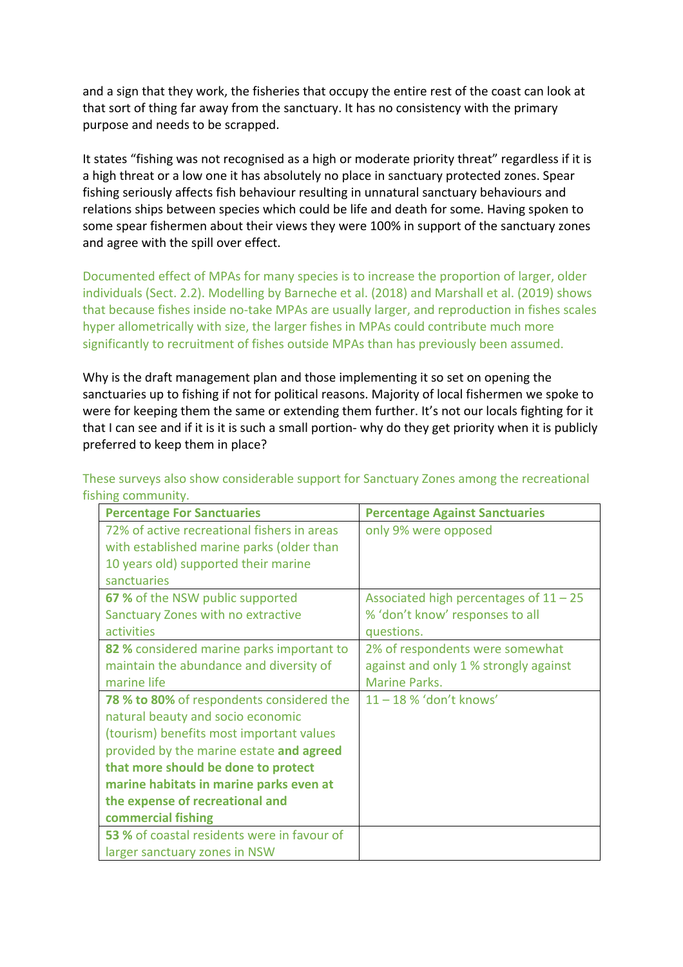and a sign that they work, the fisheries that occupy the entire rest of the coast can look at that sort of thing far away from the sanctuary. It has no consistency with the primary purpose and needs to be scrapped.

It states "fishing was not recognised as a high or moderate priority threat" regardless if it is a high threat or a low one it has absolutely no place in sanctuary protected zones. Spear fishing seriously affects fish behaviour resulting in unnatural sanctuary behaviours and relations ships between species which could be life and death for some. Having spoken to some spear fishermen about their views they were 100% in support of the sanctuary zones and agree with the spill over effect.

Documented effect of MPAs for many species is to increase the proportion of larger, older individuals (Sect. 2.2). Modelling by Barneche et al. (2018) and Marshall et al. (2019) shows that because fishes inside no-take MPAs are usually larger, and reproduction in fishes scales hyper allometrically with size, the larger fishes in MPAs could contribute much more significantly to recruitment of fishes outside MPAs than has previously been assumed.

Why is the draft management plan and those implementing it so set on opening the sanctuaries up to fishing if not for political reasons. Majority of local fishermen we spoke to were for keeping them the same or extending them further. It's not our locals fighting for it that I can see and if it is it is such a small portion- why do they get priority when it is publicly preferred to keep them in place?

These surveys also show considerable support for Sanctuary Zones among the recreational fishing community.

| <b>Percentage For Sanctuaries</b>           | <b>Percentage Against Sanctuaries</b>    |
|---------------------------------------------|------------------------------------------|
| 72% of active recreational fishers in areas | only 9% were opposed                     |
| with established marine parks (older than   |                                          |
| 10 years old) supported their marine        |                                          |
| sanctuaries                                 |                                          |
| 67 % of the NSW public supported            | Associated high percentages of $11 - 25$ |
| Sanctuary Zones with no extractive          | % 'don't know' responses to all          |
| activities                                  | questions.                               |
| 82 % considered marine parks important to   | 2% of respondents were somewhat          |
| maintain the abundance and diversity of     | against and only 1 % strongly against    |
| marine life                                 | <b>Marine Parks.</b>                     |
| 78 % to 80% of respondents considered the   | $11 - 18$ % 'don't knows'                |
| natural beauty and socio economic           |                                          |
| (tourism) benefits most important values    |                                          |
| provided by the marine estate and agreed    |                                          |
| that more should be done to protect         |                                          |
| marine habitats in marine parks even at     |                                          |
| the expense of recreational and             |                                          |
| commercial fishing                          |                                          |
| 53 % of coastal residents were in favour of |                                          |
| larger sanctuary zones in NSW               |                                          |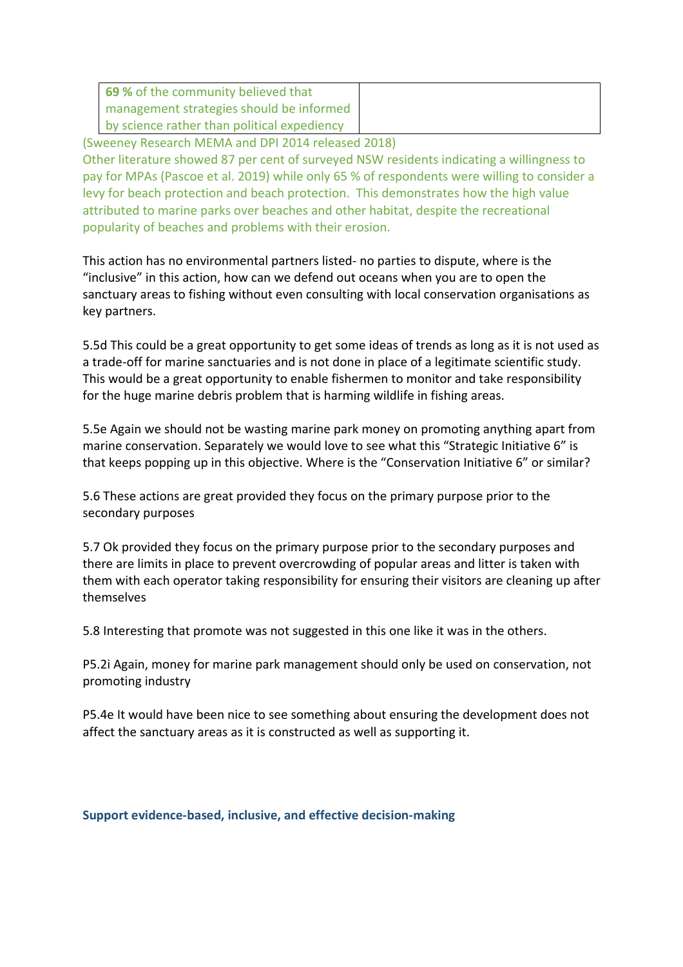| 69 % of the community believed that         |  |
|---------------------------------------------|--|
| management strategies should be informed    |  |
| by science rather than political expediency |  |
|                                             |  |

(Sweeney Research MEMA and DPI 2014 released 2018)

Other literature showed 87 per cent of surveyed NSW residents indicating a willingness to pay for MPAs (Pascoe et al. 2019) while only 65 % of respondents were willing to consider a levy for beach protection and beach protection. This demonstrates how the high value attributed to marine parks over beaches and other habitat, despite the recreational popularity of beaches and problems with their erosion.

This action has no environmental partners listed- no parties to dispute, where is the "inclusive" in this action, how can we defend out oceans when you are to open the sanctuary areas to fishing without even consulting with local conservation organisations as key partners.

5.5d This could be a great opportunity to get some ideas of trends as long as it is not used as a trade-off for marine sanctuaries and is not done in place of a legitimate scientific study. This would be a great opportunity to enable fishermen to monitor and take responsibility for the huge marine debris problem that is harming wildlife in fishing areas.

5.5e Again we should not be wasting marine park money on promoting anything apart from marine conservation. Separately we would love to see what this "Strategic Initiative 6" is that keeps popping up in this objective. Where is the "Conservation Initiative 6" or similar?

5.6 These actions are great provided they focus on the primary purpose prior to the secondary purposes

5.7 Ok provided they focus on the primary purpose prior to the secondary purposes and there are limits in place to prevent overcrowding of popular areas and litter is taken with them with each operator taking responsibility for ensuring their visitors are cleaning up after themselves

5.8 Interesting that promote was not suggested in this one like it was in the others.

P5.2i Again, money for marine park management should only be used on conservation, not promoting industry

P5.4e It would have been nice to see something about ensuring the development does not affect the sanctuary areas as it is constructed as well as supporting it.

**Support evidence-based, inclusive, and effective decision-making**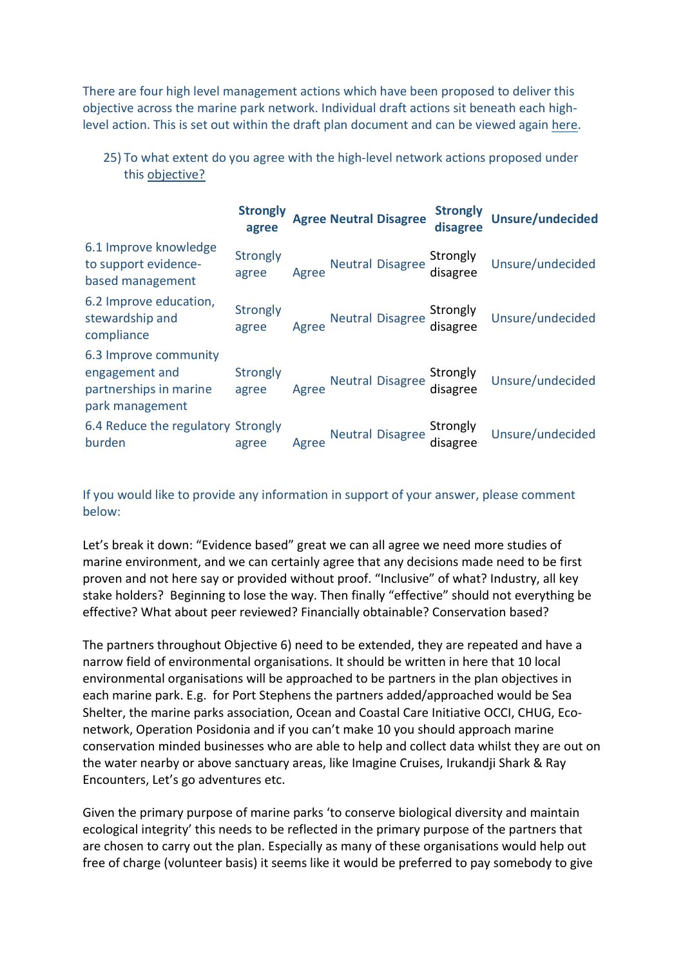There are four high level management actions which have been proposed to deliver this objective across the marine park network. Individual draft actions sit beneath each highlevel action. This is set out within the draft plan document and can be viewed again here.

|                                                                                      | <b>Strongly</b><br>agree |       | <b>Agree Neutral Disagree</b> | <b>Strongly</b><br>disagree | <b>Unsure/undecided</b> |
|--------------------------------------------------------------------------------------|--------------------------|-------|-------------------------------|-----------------------------|-------------------------|
| 6.1 Improve knowledge<br>to support evidence-<br>based management                    | Strongly<br>agree        | Agree | <b>Neutral Disagree</b>       | Strongly<br>disagree        | Unsure/undecided        |
| 6.2 Improve education,<br>stewardship and<br>compliance                              | Strongly<br>agree        | Agree | <b>Neutral Disagree</b>       | Strongly<br>disagree        | Unsure/undecided        |
| 6.3 Improve community<br>engagement and<br>partnerships in marine<br>park management | Strongly<br>agree        | Agree | <b>Neutral Disagree</b>       | Strongly<br>disagree        | Unsure/undecided        |
| 6.4 Reduce the regulatory Strongly<br>burden                                         | agree                    | Agree | <b>Neutral Disagree</b>       | Strongly<br>disagree        | Unsure/undecided        |

25) To what extent do you agree with the high-level network actions proposed under this objective?

If you would like to provide any information in support of your answer, please comment below:

Let's break it down: "Evidence based" great we can all agree we need more studies of marine environment, and we can certainly agree that any decisions made need to be first proven and not here say or provided without proof. "Inclusive" of what? Industry, all key stake holders? Beginning to lose the way. Then finally "effective" should not everything be effective? What about peer reviewed? Financially obtainable? Conservation based?

The partners throughout Objective 6) need to be extended, they are repeated and have a narrow field of environmental organisations. It should be written in here that 10 local environmental organisations will be approached to be partners in the plan objectives in each marine park. E.g. for Port Stephens the partners added/approached would be Sea Shelter, the marine parks association, Ocean and Coastal Care Initiative OCCI, CHUG, Econetwork, Operation Posidonia and if you can't make 10 you should approach marine conservation minded businesses who are able to help and collect data whilst they are out on the water nearby or above sanctuary areas, like Imagine Cruises, Irukandji Shark & Ray Encounters, Let's go adventures etc.

Given the primary purpose of marine parks 'to conserve biological diversity and maintain ecological integrity' this needs to be reflected in the primary purpose of the partners that are chosen to carry out the plan. Especially as many of these organisations would help out free of charge (volunteer basis) it seems like it would be preferred to pay somebody to give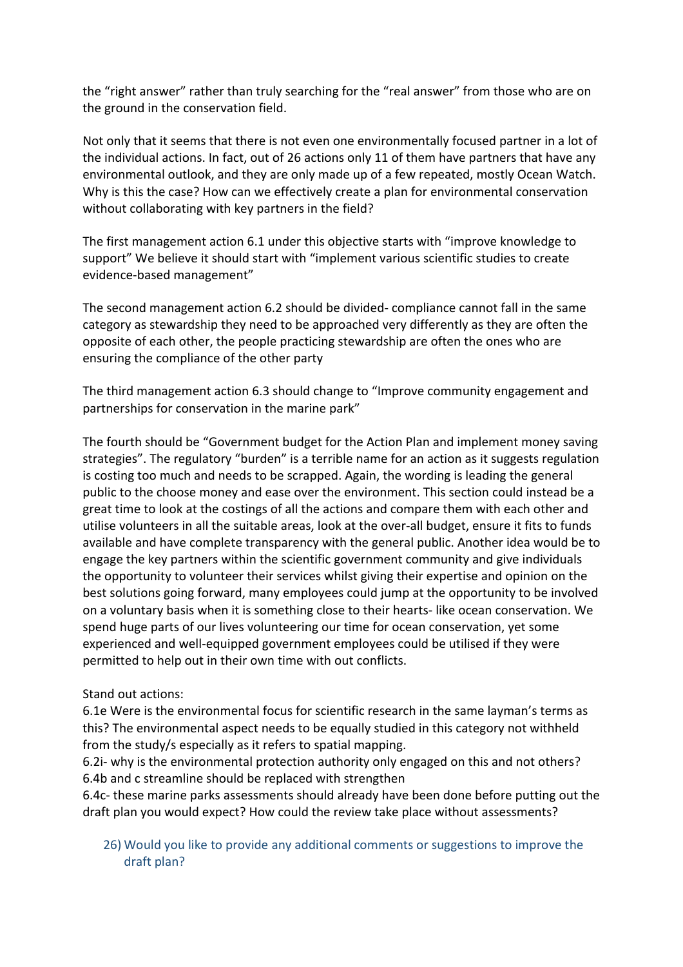the "right answer" rather than truly searching for the "real answer" from those who are on the ground in the conservation field.

Not only that it seems that there is not even one environmentally focused partner in a lot of the individual actions. In fact, out of 26 actions only 11 of them have partners that have any environmental outlook, and they are only made up of a few repeated, mostly Ocean Watch. Why is this the case? How can we effectively create a plan for environmental conservation without collaborating with key partners in the field?

The first management action 6.1 under this objective starts with "improve knowledge to support" We believe it should start with "implement various scientific studies to create evidence-based management"

The second management action 6.2 should be divided- compliance cannot fall in the same category as stewardship they need to be approached very differently as they are often the opposite of each other, the people practicing stewardship are often the ones who are ensuring the compliance of the other party

The third management action 6.3 should change to "Improve community engagement and partnerships for conservation in the marine park"

The fourth should be "Government budget for the Action Plan and implement money saving strategies". The regulatory "burden" is a terrible name for an action as it suggests regulation is costing too much and needs to be scrapped. Again, the wording is leading the general public to the choose money and ease over the environment. This section could instead be a great time to look at the costings of all the actions and compare them with each other and utilise volunteers in all the suitable areas, look at the over-all budget, ensure it fits to funds available and have complete transparency with the general public. Another idea would be to engage the key partners within the scientific government community and give individuals the opportunity to volunteer their services whilst giving their expertise and opinion on the best solutions going forward, many employees could jump at the opportunity to be involved on a voluntary basis when it is something close to their hearts- like ocean conservation. We spend huge parts of our lives volunteering our time for ocean conservation, yet some experienced and well-equipped government employees could be utilised if they were permitted to help out in their own time with out conflicts.

# Stand out actions:

6.1e Were is the environmental focus for scientific research in the same layman's terms as this? The environmental aspect needs to be equally studied in this category not withheld from the study/s especially as it refers to spatial mapping.

6.2i- why is the environmental protection authority only engaged on this and not others? 6.4b and c streamline should be replaced with strengthen

6.4c- these marine parks assessments should already have been done before putting out the draft plan you would expect? How could the review take place without assessments?

26) Would you like to provide any additional comments or suggestions to improve the draft plan?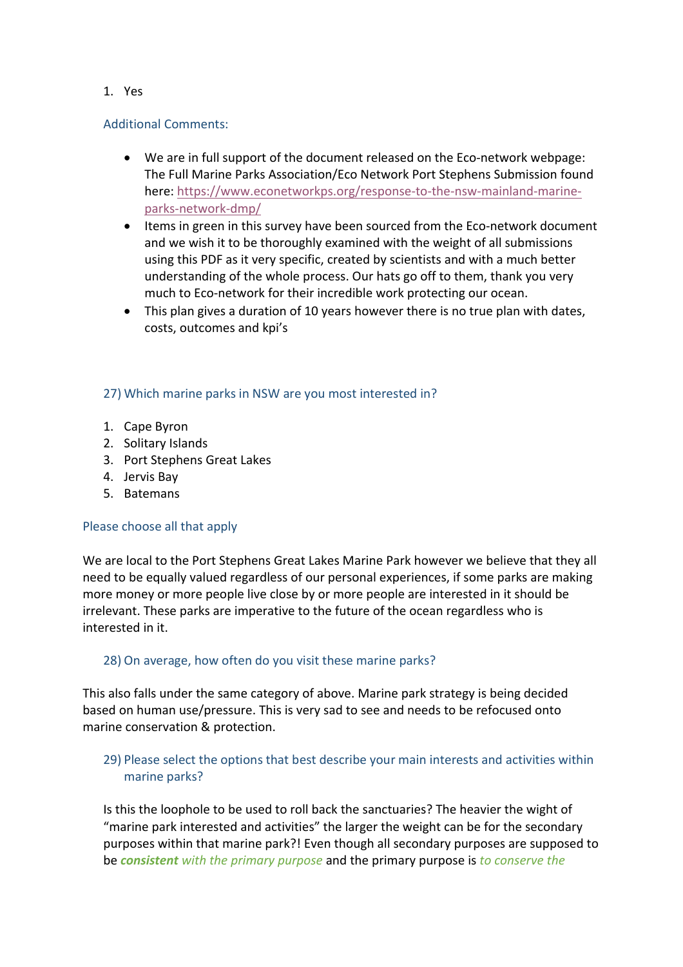## 1. Yes

## Additional Comments:

- We are in full support of the document released on the Eco-network webpage: The Full Marine Parks Association/Eco Network Port Stephens Submission found here: https://www.econetworkps.org/response-to-the-nsw-mainland-marineparks-network-dmp/
- Items in green in this survey have been sourced from the Eco-network document and we wish it to be thoroughly examined with the weight of all submissions using this PDF as it very specific, created by scientists and with a much better understanding of the whole process. Our hats go off to them, thank you very much to Eco-network for their incredible work protecting our ocean.
- This plan gives a duration of 10 years however there is no true plan with dates, costs, outcomes and kpi's

## 27) Which marine parks in NSW are you most interested in?

- 1. Cape Byron
- 2. Solitary Islands
- 3. Port Stephens Great Lakes
- 4. Jervis Bay
- 5. Batemans

#### Please choose all that apply

We are local to the Port Stephens Great Lakes Marine Park however we believe that they all need to be equally valued regardless of our personal experiences, if some parks are making more money or more people live close by or more people are interested in it should be irrelevant. These parks are imperative to the future of the ocean regardless who is interested in it.

#### 28) On average, how often do you visit these marine parks?

This also falls under the same category of above. Marine park strategy is being decided based on human use/pressure. This is very sad to see and needs to be refocused onto marine conservation & protection.

# 29) Please select the options that best describe your main interests and activities within marine parks?

Is this the loophole to be used to roll back the sanctuaries? The heavier the wight of "marine park interested and activities" the larger the weight can be for the secondary purposes within that marine park?! Even though all secondary purposes are supposed to be *consistent with the primary purpose* and the primary purpose is *to conserve the*